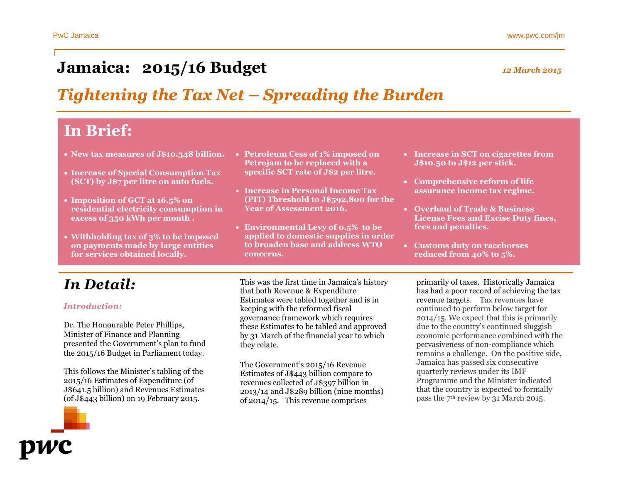### **Jamaica: 2015/16 Budget** *12 March 2015*

# *Tightening the Tax Net – Spreading the Burden*

# **In Brief:**

- **New tax measures of J\$10.348 billion.**
- **Increase of Special Consumption Tax (SCT) by J\$7 per litre on auto fuels.**
- **Imposition of GCT at 16.5% on residential electricity consumption in excess of 350 kWh per month .**
- **Withholding tax of 3% to be imposed on payments made by large entities for services obtained locally.**
- **Petroleum Cess of 1% imposed on Petrojam to be replaced with a specific SCT rate of J\$2 per litre.**
- **Increase in Personal Income Tax (PIT) Threshold to J\$592,800 for the Year of Assessment 2016.**
- **Environmental Levy of 0.5% to be applied to domestic supplies in order to broaden base and address WTO concerns.**
- **Increase in SCT on cigarettes from J\$10.50 to J\$12 per stick.**
- **Comprehensive reform of life assurance income tax regime.**
- **Overhaul of Trade & Business License Fees and Excise Duty fines, fees and penalties.**
- **Customs duty on racehorses reduced from 40% to 5%.**

### *In Detail:*

#### *Introduction:*

Dr. The Honourable Peter Phillips, Minister of Finance and Planning presented the Government's plan to fund the 2015/16 Budget in Parliament today.

This follows the Minister's tabling of the 2015/16 Estimates of Expenditure (of J\$641.5 billion) and Revenues Estimates (of J\$443 billion) on 19 February 2015.

This was the first time in Jamaica's history that both Revenue & Expenditure Estimates were tabled together and is in keeping with the reformed fiscal governance framework which requires these Estimates to be tabled and approved by 31 March of the financial year to which they relate.

The Government's 2015/16 Revenue Estimates of J\$443 billion compare to revenues collected of J\$397 billion in 2013/14 and J\$289 billion (nine months) of 2014/15. This revenue comprises

primarily of taxes. Historically Jamaica has had a poor record of achieving the tax revenue targets. Tax revenues have continued to perform below target for 2014/15. We expect that this is primarily due to the country's continued sluggish economic performance combined with the pervasiveness of non-compliance which remains a challenge. On the positive side, Jamaica has passed six consecutive quarterly reviews under its IMF Programme and the Minister indicated that the country is expected to formally pass the 7th review by 31 March 2015.

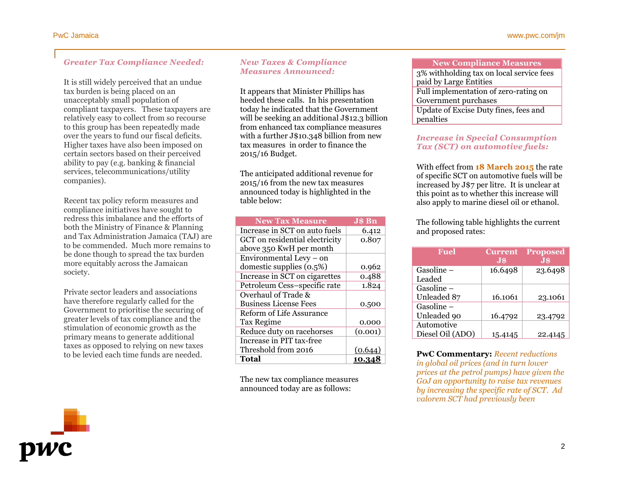#### *Greater Tax Compliance Needed:*

It is still widely perceived that an undue tax burden is being placed on an unacceptably small population of compliant taxpayers. These taxpayers are relatively easy to collect from so recourse to this group has been repeatedly made over the years to fund our fiscal deficits. Higher taxes have also been imposed on certain sectors based on their perceived ability to pay (e.g. banking & financial services, telecommunications/utility companies).

Recent tax policy reform measures and compliance initiatives have sought to redress this imbalance and the efforts of both the Ministry of Finance & Planning and Tax Administration Jamaica (TAJ) are to be commended. Much more remains to be done though to spread the tax burden more equitably across the Jamaican society.

Private sector leaders and associations have therefore regularly called for the Government to prioritise the securing of greater levels of tax compliance and the stimulation of economic growth as the primary means to generate additional taxes as opposed to relying on new taxes to be levied each time funds are needed.

#### *New Taxes & Compliance Measures Announced:*

It appears that Minister Phillips has heeded these calls. In his presentation today he indicated that the Government will be seeking an additional J\$12.3 billion from enhanced tax compliance measures with a further J\$10.348 billion from new tax measures in order to finance the 2015/16 Budget.

The anticipated additional revenue for 2015/16 from the new tax measures announced today is highlighted in the table below:

| <b>New Tax Measure</b>         | J\$ Bn        |
|--------------------------------|---------------|
| Increase in SCT on auto fuels  | 6.412         |
| GCT on residential electricity | 0.807         |
| above 350 KwH per month        |               |
| Environmental Levy - on        |               |
| domestic supplies (0.5%)       | 0.962         |
| Increase in SCT on cigarettes  | 0.488         |
| Petroleum Cess-specific rate   | 1.824         |
| Overhaul of Trade &            |               |
| <b>Business License Fees</b>   | 0.500         |
| Reform of Life Assurance       |               |
| <b>Tax Regime</b>              | 0.000         |
| Reduce duty on racehorses      | (0.001)       |
| Increase in PIT tax-free       |               |
| Threshold from 2016            | (0.644)       |
| Total                          | <u>10.348</u> |

The new tax compliance measures announced today are as follows:

| <b>New Compliance Measures</b>           |
|------------------------------------------|
| 3% withholding tax on local service fees |
| paid by Large Entities                   |
| Full implementation of zero-rating on    |
| Government purchases                     |
| Update of Excise Duty fines, fees and    |
| penalties                                |

#### *Increase in Special Consumption Tax (SCT) on automotive fuels:*

With effect from **18 March 2015** the rate of specific SCT on automotive fuels will be increased by J\$7 per litre. It is unclear at this point as to whether this increase will also apply to marine diesel oil or ethanol.

The following table highlights the current and proposed rates:

| <b>Fuel</b>      | <b>Current</b> | <b>Proposed</b> |
|------------------|----------------|-----------------|
|                  | J\$            | J\$             |
| Gasoline –       | 16.6498        | 23.6498         |
| Leaded           |                |                 |
| Gasoline-        |                |                 |
| Unleaded 87      | 16.1061        | 23.1061         |
| Gasoline -       |                |                 |
| Unleaded 90      | 16.4792        | 23.4792         |
| Automotive       |                |                 |
| Diesel Oil (ADO) | 15.4145        | 22.4145         |

**PwC Commentary:** *Recent reductions in global oil prices (and in turn lower prices at the petrol pumps) have given the G0J an opportunity to raise tax revenues by increasing the specific rate of SCT. Ad valorem SCT had previously been* 

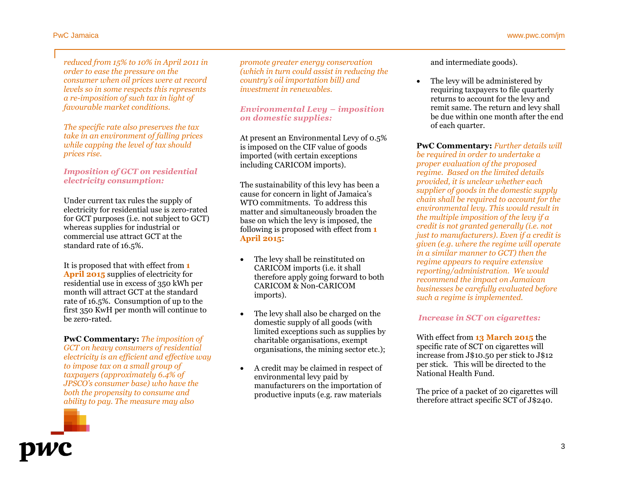*reduced from 15% to 10% in April 2011 in order to ease the pressure on the consumer when oil prices were at record levels so in some respects this represents a re-imposition of such tax in light of favourable market conditions.*

*The specific rate also preserves the tax take in an environment of falling prices while capping the level of tax should prices rise.*

#### *Imposition of GCT on residential electricity consumption:*

Under current tax rules the supply of electricity for residential use is zero-rated for GCT purposes (i.e. not subject to GCT) whereas supplies for industrial or commercial use attract GCT at the standard rate of 16.5%.

It is proposed that with effect from **1 April 2015** supplies of electricity for residential use in excess of 350 kWh per month will attract GCT at the standard rate of 16.5%. Consumption of up to the first 350 KwH per month will continue to be zero-rated.

**PwC Commentary:** *The imposition of GCT on heavy consumers of residential electricity is an efficient and effective way to impose tax on a small group of taxpayers (approximately 6.4% of JPSCO's consumer base) who have the both the propensity to consume and ability to pay. The measure may also* 



*promote greater energy conservation (which in turn could assist in reducing the country's oil importation bill) and investment in renewables.* 

#### *Environmental Levy – imposition on domestic supplies:*

At present an Environmental Levy of 0.5% is imposed on the CIF value of goods imported (with certain exceptions including CARICOM imports).

The sustainability of this levy has been a cause for concern in light of Jamaica's WTO commitments. To address this matter and simultaneously broaden the base on which the levy is imposed, the following is proposed with effect from **1 April 2015**:

- The levy shall be reinstituted on CARICOM imports (i.e. it shall therefore apply going forward to both CARICOM & Non-CARICOM imports).
- The levy shall also be charged on the domestic supply of all goods (with limited exceptions such as supplies by charitable organisations, exempt organisations, the mining sector etc.);
- A credit may be claimed in respect of environmental levy paid by manufacturers on the importation of productive inputs (e.g. raw materials

and intermediate goods).

• The levy will be administered by requiring taxpayers to file quarterly returns to account for the levy and remit same. The return and levy shall be due within one month after the end of each quarter.

**PwC Commentary:** *Further details will be required in order to undertake a proper evaluation of the proposed regime. Based on the limited details provided, it is unclear whether each supplier of goods in the domestic supply chain shall be required to account for the environmental levy. This would result in the multiple imposition of the levy if a credit is not granted generally (i.e. not just to manufacturers). Even if a credit is given (e.g. where the regime will operate in a similar manner to GCT) then the regime appears to require extensive reporting/administration. We would recommend the impact on Jamaican businesses be carefully evaluated before such a regime is implemented.* 

#### *Increase in SCT on cigarettes:*

With effect from **13 March 2015** the specific rate of SCT on cigarettes will increase from J\$10.50 per stick to J\$12 per stick. This will be directed to the National Health Fund.

The price of a packet of 20 cigarettes will therefore attract specific SCT of J\$240.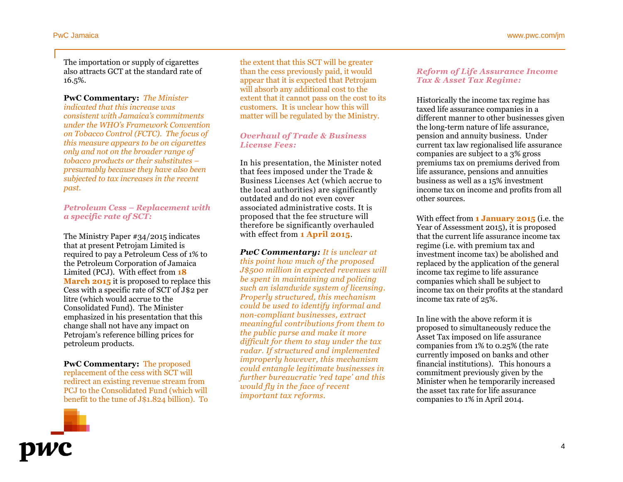The importation or supply of cigarettes also attracts GCT at the standard rate of 16.5%.

**PwC Commentary:** *The Minister indicated that this increase was consistent with Jamaica's commitments under the WHO's Framework Convention on Tobacco Control (FCTC). The focus of this measure appears to be on cigarettes only and not on the broader range of tobacco products or their substitutes – presumably because they have also been subjected to tax increases in the recent past.*

*Petroleum Cess – Replacement with a specific rate of SCT:*

The Ministry Paper #34/2015 indicates that at present Petrojam Limited is required to pay a Petroleum Cess of 1% to the Petroleum Corporation of Jamaica Limited (PCJ). With effect from **18 March 2015** it is proposed to replace this Cess with a specific rate of SCT of J\$2 per litre (which would accrue to the Consolidated Fund). The Minister emphasized in his presentation that this change shall not have any impact on Petrojam's reference billing prices for petroleum products.

**PwC Commentary:** The proposed replacement of the cess with SCT will redirect an existing revenue stream from PCJ to the Consolidated Fund (which will benefit to the tune of J\$1.824 billion). To the extent that this SCT will be greater than the cess previously paid, it would appear that it is expected that Petrojam will absorb any additional cost to the extent that it cannot pass on the cost to its customers. It is unclear how this will matter will be regulated by the Ministry.

#### *Overhaul of Trade & Business License Fees:*

In his presentation, the Minister noted that fees imposed under the Trade & Business Licenses Act (which accrue to the local authorities) are significantly outdated and do not even cover associated administrative costs. It is proposed that the fee structure will therefore be significantly overhauled with effect from **1 April 2015**.

*PwC Commentary: It is unclear at this point how much of the proposed J\$500 million in expected revenues will be spent in maintaining and policing such an islandwide system of licensing. Properly structured, this mechanism could be used to identify informal and non-compliant businesses, extract meaningful contributions from them to the public purse and make it more difficult for them to stay under the tax radar. If structured and implemented improperly however, this mechanism could entangle legitimate businesses in further bureaucratic 'red tape' and this would fly in the face of recent important tax reforms.* 

#### *Reform of Life Assurance Income Tax & Asset Tax Regime:*

Historically the income tax regime has taxed life assurance companies in a different manner to other businesses given the long-term nature of life assurance, pension and annuity business. Under current tax law regionalised life assurance companies are subject to a 3% gross premiums tax on premiums derived from life assurance, pensions and annuities business as well as a 15% investment income tax on income and profits from all other sources.

With effect from **1 January 2015** (i.e. the Year of Assessment 2015), it is proposed that the current life assurance income tax regime (i.e. with premium tax and investment income tax) be abolished and replaced by the application of the general income tax regime to life assurance companies which shall be subject to income tax on their profits at the standard income tax rate of 25%.

In line with the above reform it is proposed to simultaneously reduce the Asset Tax imposed on life assurance companies from 1% to 0.25% (the rate currently imposed on banks and other financial institutions). This honours a commitment previously given by the Minister when he temporarily increased the asset tax rate for life assurance companies to 1% in April 2014.

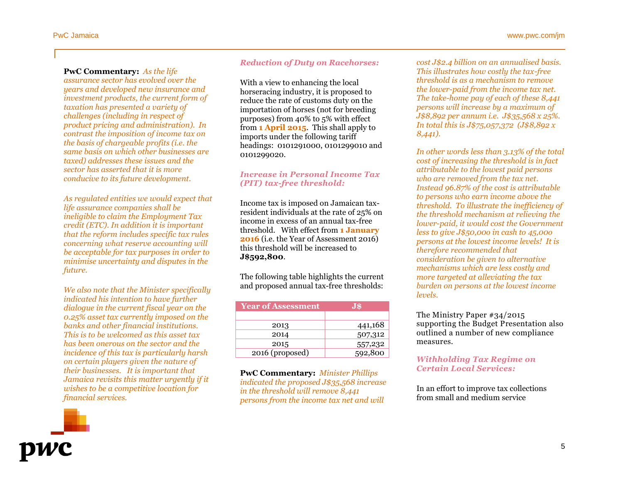#### **PwC Commentary:** *As the life*

*assurance sector has evolved over the years and developed new insurance and investment products, the current form of taxation has presented a variety of challenges (including in respect of product pricing and administration). In contrast the imposition of income tax on the basis of chargeable profits (i.e. the same basis on which other businesses are taxed) addresses these issues and the sector has asserted that it is more conducive to its future development.* 

*As regulated entities we would expect that life assurance companies shall be ineligible to claim the Employment Tax credit (ETC). In addition it is important that the reform includes specific tax rules concerning what reserve accounting will be acceptable for tax purposes in order to minimise uncertainty and disputes in the future.* 

*We also note that the Minister specifically indicated his intention to have further dialogue in the current fiscal year on the 0.25% asset tax currently imposed on the banks and other financial institutions. This is to be welcomed as this asset tax has been onerous on the sector and the incidence of this tax is particularly harsh on certain players given the nature of their businesses. It is important that Jamaica revisits this matter urgently if it wishes to be a competitive location for financial services.* 

#### *Reduction of Duty on Racehorses:*

With a view to enhancing the local horseracing industry, it is proposed to reduce the rate of customs duty on the importation of horses (not for breeding purposes) from 40% to 5% with effect from **1 April 2015**. This shall apply to imports under the following tariff headings: 0101291000, 0101299010 and 0101299020.

#### *Increase in Personal Income Tax (PIT) tax-free threshold:*

Income tax is imposed on Jamaican taxresident individuals at the rate of 25% on income in excess of an annual tax-free threshold. With effect from **1 January 2016** (i.e. the Year of Assessment 2016) this threshold will be increased to **J\$592,800**.

The following table highlights the current and proposed annual tax-free thresholds:

| <b>Year of Assessment</b> | J\$     |
|---------------------------|---------|
|                           |         |
| 2013                      | 441,168 |
| 2014                      | 507,312 |
| 2015                      | 557,232 |
| 2016 (proposed)           | 592,800 |

**PwC Commentary:** *Minister Phillips indicated the proposed J\$35,568 increase in the threshold will remove 8,441 persons from the income tax net and will* 

*cost J\$2.4 billion on an annualised basis. This illustrates how costly the tax-free threshold is as a mechanism to remove the lower-paid from the income tax net. The take-home pay of each of these 8,441 persons will increase by a maximum of J\$8,892 per annum i.e. J\$35,568 x 25%. In total this is J\$75,057,372 (J\$8,892 x 8,441).*

*In other words less than 3.13% of the total cost of increasing the threshold is in fact attributable to the lowest paid persons who are removed from the tax net. Instead 96.87% of the cost is attributable to persons who earn income above the threshold. To illustrate the inefficiency of the threshold mechanism at relieving the lower-paid, it would cost the Government less to give J\$50,00o in cash to 45,00o persons at the lowest income levels! It is therefore recommended that consideration be given to alternative mechanisms which are less costly and more targeted at alleviating the tax burden on persons at the lowest income levels.* 

The Ministry Paper #34/2015 supporting the Budget Presentation also outlined a number of new compliance measures.

#### *Withholding Tax Regime on Certain Local Services:*

In an effort to improve tax collections from small and medium service

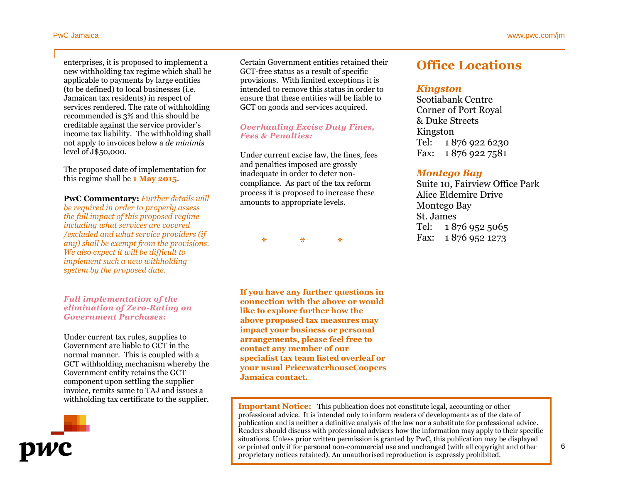enterprises, it is proposed to implement a new withholding tax regime which shall be applicable to payments by large entities (to be defined) to local businesses (i.e. Jamaican tax residents) in respect of services rendered. The rate of withholding recommended is 3% and this should be creditable against the service provider's income tax liability. The withholding shall not apply to invoices below a *de minimis* level of J\$50,000.

The proposed date of implementation for this regime shall be **1 May 2015**.

**PwC Commentary:** *Further details will be required in order to properly assess the full impact of this proposed regime including what services are covered /excluded and what service providers (if any) shall be exempt from the provisions. We also expect it will be difficult to implement such a new withholding system by the proposed date.*

#### *Full implementation of the elimination of Zero-Rating on Government Purchases:*

Under current tax rules, supplies to Government are liable to GCT in the normal manner. This is coupled with a GCT withholding mechanism whereby the Government entity retains the GCT component upon settling the supplier invoice, remits same to TAJ and issues a withholding tax certificate to the supplier.



Certain Government entities retained their GCT-free status as a result of specific provisions. With limited exceptions it is intended to remove this status in order to ensure that these entities will be liable to GCT on goods and services acquired.

#### *Overhauling Excise Duty Fines, Fees & Penalties:*

Under current excise law, the fines, fees and penalties imposed are grossly inadequate in order to deter noncompliance. As part of the tax reform process it is proposed to increase these amounts to appropriate levels.



### **Office Locations**

### *Kingston*

Scotiabank Centre Corner of Port Royal & Duke Streets Kingston Tel: 1 876 922 6230 Fax: 1 876 922 7581

#### *Montego Bay*

Suite 10, Fairview Office Park Alice Eldemire Drive Montego Bay St. James Tel: 1 876 952 5065 Fax: 1 876 952 1273

**If you have any further questions in connection with the above or would like to explore further how the above proposed tax measures may impact your business or personal arrangements, please feel free to contact any member of our specialist tax team listed overleaf or your usual PricewaterhouseCoopers Jamaica contact.**

**Important Notice:** This publication does not constitute legal, accounting or other professional advice. It is intended only to inform readers of developments as of the date of publication and is neither a definitive analysis of the law nor a substitute for professional advice. Readers should discuss with professional advisers how the information may apply to their specific situations. Unless prior written permission is granted by PwC, this publication may be displayed or printed only if for personal non-commercial use and unchanged (with all copyright and other proprietary notices retained). An unauthorised reproduction is expressly prohibited.